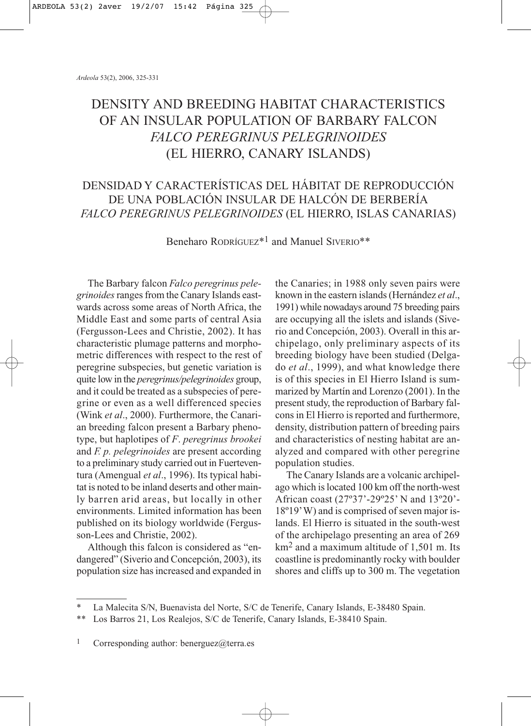# DENSITY AND BREEDING HABITAT CHARACTERISTICS OF AN INSULAR POPULATION OF BARBARY FALCON *FALCO PEREGRINUS PELEGRINOIDES* (EL HIERRO, CANARY ISLANDS)

## DENSIDAD Y CARACTERÍSTICAS DEL HÁBITAT DE REPRODUCCIÓN DE UNA POBLACIÓN INSULAR DE HALCÓN DE BERBERÍA *FALCO PEREGRINUS PELEGRINOIDES* (EL HIERRO, ISLAS CANARIAS)

Beneharo RODRÍGUEZ<sup>\*1</sup> and Manuel SIVERIO<sup>\*\*</sup>

The Barbary falcon *Falco peregrinus pelegrinoides*ranges from the Canary Islands eastwards across some areas of North Africa, the Middle East and some parts of central Asia (Fergusson-Lees and Christie, 2002). It has characteristic plumage patterns and morphometric differences with respect to the rest of peregrine subspecies, but genetic variation is quite low in the *peregrinus/pelegrinoides* group, and it could be treated as a subspecies of peregrine or even as a well differenced species (Wink *et al*., 2000). Furthermore, the Canarian breeding falcon present a Barbary phenotype, but haplotipes of *F*. *peregrinus brookei* and *F. p. pelegrinoides* are present according to a preliminary study carried out in Fuerteventura (Amengual *et al*., 1996). Its typical habitat is noted to be inland deserts and other mainly barren arid areas, but locally in other environments. Limited information has been published on its biology worldwide (Fergusson-Lees and Christie, 2002).

Although this falcon is considered as "endangered" (Siverio and Concepción, 2003), its population size has increased and expanded in

the Canaries; in 1988 only seven pairs were known in the eastern islands (Hernández *et al*., 1991) while nowadays around 75 breeding pairs are occupying all the islets and islands (Siverio and Concepción, 2003). Overall in this archipelago, only preliminary aspects of its breeding biology have been studied (Delgado *et al*., 1999), and what knowledge there is of this species in El Hierro Island is summarized by Martín and Lorenzo (2001). In the present study, the reproduction of Barbary falcons in El Hierro is reported and furthermore, density, distribution pattern of breeding pairs and characteristics of nesting habitat are analyzed and compared with other peregrine population studies.

The Canary Islands are a volcanic archipelago which is located 100 km off the north-west African coast (27º37'-29º25' N and 13º20'- 18º19'W) and is comprised of seven major islands. El Hierro is situated in the south-west of the archipelago presenting an area of 269 km2 and a maximum altitude of 1,501 m. Its coastline is predominantly rocky with boulder shores and cliffs up to 300 m. The vegetation

La Malecita S/N, Buenavista del Norte, S/C de Tenerife, Canary Islands, E-38480 Spain.

<sup>\*\*</sup> Los Barros 21, Los Realejos, S/C de Tenerife, Canary Islands, E-38410 Spain.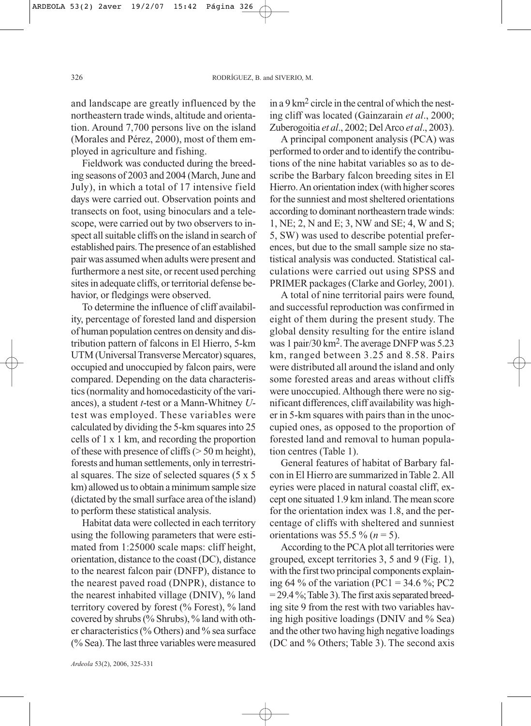and landscape are greatly influenced by the northeastern trade winds, altitude and orientation. Around 7,700 persons live on the island (Morales and Pérez, 2000), most of them employed in agriculture and fishing.

Fieldwork was conducted during the breeding seasons of 2003 and 2004 (March, June and July), in which a total of 17 intensive field days were carried out. Observation points and transects on foot, using binoculars and a telescope, were carried out by two observers to inspect all suitable cliffs on the island in search of established pairs. The presence of an established pair was assumed when adults were present and furthermore a nest site, or recent used perching sites in adequate cliffs, or territorial defense behavior, or fledgings were observed.

To determine the influence of cliff availability, percentage of forested land and dispersion of human population centres on density and distribution pattern of falcons in El Hierro, 5-km UTM (Universal Transverse Mercator) squares, occupied and unoccupied by falcon pairs, were compared. Depending on the data characteristics (normality and homocedasticity of the variances), a student *t*-test or a Mann-Whitney *U*test was employed. These variables were calculated by dividing the 5-km squares into 25 cells of 1 x 1 km, and recording the proportion of these with presence of cliffs (> 50 m height), forests and human settlements, only in terrestrial squares. The size of selected squares (5 x 5 km) allowed us to obtain a minimum sample size (dictated by the small surface area of the island) to perform these statistical analysis.

Habitat data were collected in each territory using the following parameters that were estimated from 1:25000 scale maps: cliff height, orientation, distance to the coast (DC), distance to the nearest falcon pair (DNFP), distance to the nearest paved road (DNPR), distance to the nearest inhabited village (DNIV), % land territory covered by forest (% Forest), % land covered by shrubs (% Shrubs), % land with other characteristics (% Others) and % sea surface (% Sea). The last three variables were measured

*Ardeola* 53(2), 2006, 325-331

in a 9 km2 circle in the central of which the nesting cliff was located (Gainzarain *et al*., 2000; Zuberogoitia *et al*., 2002; Del Arco *et al*., 2003).

A principal component analysis (PCA) was performed to order and to identify the contributions of the nine habitat variables so as to describe the Barbary falcon breeding sites in El Hierro. An orientation index (with higher scores for the sunniest and most sheltered orientations according to dominant northeastern trade winds: 1, NE; 2, N and E; 3, NW and SE; 4, W and S; 5, SW) was used to describe potential preferences, but due to the small sample size no statistical analysis was conducted. Statistical calculations were carried out using SPSS and PRIMER packages (Clarke and Gorley, 2001).

A total of nine territorial pairs were found, and successful reproduction was confirmed in eight of them during the present study. The global density resulting for the entire island was 1 pair/30 km2. The average DNFP was 5.23 km, ranged between 3.25 and 8.58. Pairs were distributed all around the island and only some forested areas and areas without cliffs were unoccupied. Although there were no significant differences, cliff availability was higher in 5-km squares with pairs than in the unoccupied ones, as opposed to the proportion of forested land and removal to human population centres (Table 1).

General features of habitat of Barbary falcon in El Hierro are summarized in Table 2. All eyries were placed in natural coastal cliff, except one situated 1.9 km inland. The mean score for the orientation index was 1.8, and the percentage of cliffs with sheltered and sunniest orientations was 55.5 %  $(n = 5)$ .

According to the PCA plot all territories were grouped, except territories 3, 5 and 9 (Fig. 1), with the first two principal components explaining 64 % of the variation (PC1 = 34.6 %; PC2  $= 29.4\%$ ; Table 3). The first axis separated breeding site 9 from the rest with two variables having high positive loadings (DNIV and % Sea) and the other two having high negative loadings (DC and % Others; Table 3). The second axis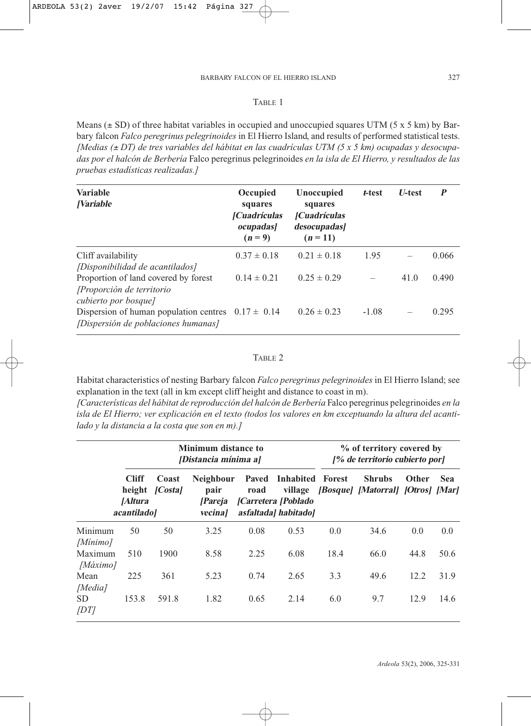### TABLE 1

Means  $(\pm SD)$  of three habitat variables in occupied and unoccupied squares UTM (5 x 5 km) by Barbary falcon *Falco peregrinus pelegrinoides* in El Hierro Island, and results of performed statistical tests. *[Medias (*<sup>±</sup> *DT) de tres variables del hábitat en las cuadrículas UTM (5 x 5 km) ocupadas y desocupadas por el halcón de Berbería* Falco peregrinus pelegrinoides *en la isla de El Hierro, y resultados de las pruebas estadísticas realizadas.]*

| <b>Variable</b><br><i><b>Nariable</b></i>                                                     | Occupied<br>squares<br><b>[Cuadrículas</b><br><i>ocupadas</i><br>$(n=9)$ | Unoccupied<br>squares<br><i>[Cuadrículas]</i><br>desocupadas]<br>$(n = 11)$ | t-test  | <b>U-test</b> | P     |
|-----------------------------------------------------------------------------------------------|--------------------------------------------------------------------------|-----------------------------------------------------------------------------|---------|---------------|-------|
| Cliff availability<br>[Disponibilidad de acantilados]                                         | $0.37 \pm 0.18$                                                          | $0.21 \pm 0.18$                                                             | 1.95    |               | 0.066 |
| Proportion of land covered by forest<br>[Proporción de territorio]<br>cubierto por bosque]    | $0.14 \pm 0.21$                                                          | $0.25 \pm 0.29$                                                             |         | 41.0          | 0.490 |
| Dispersion of human population centres $0.17 \pm 0.14$<br>[Dispersión de poblaciones humanas] |                                                                          | $0.26 \pm 0.23$                                                             | $-1.08$ |               | 0.295 |

## TABLE 2

Habitat characteristics of nesting Barbary falcon *Falco peregrinus pelegrinoides* in El Hierro Island; see explanation in the text (all in km except cliff height and distance to coast in m).

*[Características del hábitat de reproducción del halcón de Berbería* Falco peregrinus pelegrinoides *en la isla de El Hierro; ver explicación en el texto (todos los valores en km exceptuando la altura del acantilado y la distancia a la costa que son en m).]*

|                     | <b>Minimum distance to</b><br><i><b>Distancia mínima al</b></i> |                 |                                                               |                                              | % of territory covered by<br>[% de territorio cubierto por] |      |                                                    |              |      |
|---------------------|-----------------------------------------------------------------|-----------------|---------------------------------------------------------------|----------------------------------------------|-------------------------------------------------------------|------|----------------------------------------------------|--------------|------|
|                     | <b>Cliff</b><br>height<br><i>Altura</i><br><i>acantiladol</i>   | Coast<br> Costa | <b>Neighbour</b><br>pair<br><i>[Pareja]</i><br><i>vecinal</i> | <b>Paved</b><br>road<br>[Carretera [Poblado] | Inhabited Forest<br>village<br>asfaltadal habitadol         |      | <b>Shrubs</b><br>[Bosque] [Matorral] [Otros] [Mar] | <b>Other</b> | Sea  |
| Minimum<br>[Mínimo] | 50                                                              | 50              | 3.25                                                          | 0.08                                         | 0.53                                                        | 0.0  | 34.6                                               | 0.0          | 0.0  |
| Maximum<br>[Máximo] | 510                                                             | 1900            | 8.58                                                          | 2.25                                         | 6.08                                                        | 18.4 | 66.0                                               | 44.8         | 50.6 |
| Mean<br>[Media]     | 225                                                             | 361             | 5.23                                                          | 0.74                                         | 2.65                                                        | 3.3  | 49.6                                               | 12.2         | 31.9 |
| <b>SD</b><br> DT    | 153.8                                                           | 591.8           | 1.82                                                          | 0.65                                         | 2.14                                                        | 6.0  | 9.7                                                | 12.9         | 14.6 |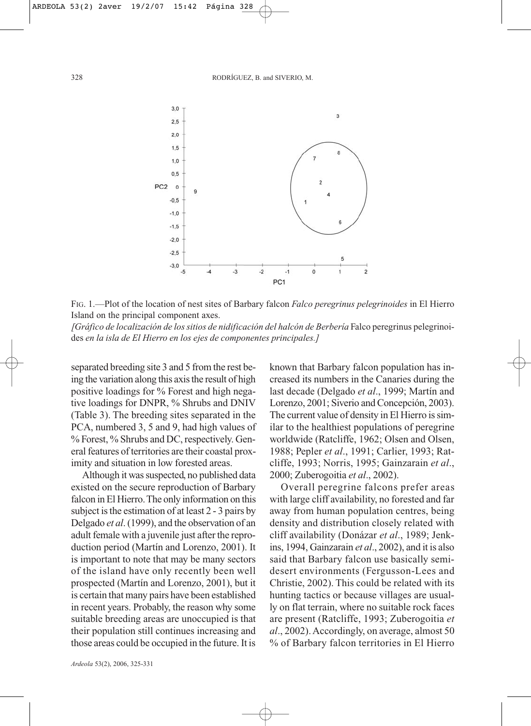

FIG. 1.—Plot of the location of nest sites of Barbary falcon *Falco peregrinus pelegrinoides* in El Hierro Island on the principal component axes.

*[Gráfico de localización de los sitios de nidificación del halcón de Berbería* Falco peregrinus pelegrinoides *en la isla de El Hierro en los ejes de componentes principales.]*

separated breeding site 3 and 5 from the rest being the variation along this axis the result of high positive loadings for % Forest and high negative loadings for DNPR, % Shrubs and DNIV (Table 3). The breeding sites separated in the PCA, numbered 3, 5 and 9, had high values of % Forest, % Shrubs and DC, respectively. General features of territories are their coastal proximity and situation in low forested areas.

Although it was suspected, no published data existed on the secure reproduction of Barbary falcon in El Hierro. The only information on this subject is the estimation of at least 2 - 3 pairs by Delgado *et al*. (1999), and the observation of an adult female with a juvenile just after the reproduction period (Martín and Lorenzo, 2001). It is important to note that may be many sectors of the island have only recently been well prospected (Martín and Lorenzo, 2001), but it is certain that many pairs have been established in recent years. Probably, the reason why some suitable breeding areas are unoccupied is that their population still continues increasing and those areas could be occupied in the future. It is

*Ardeola* 53(2), 2006, 325-331

known that Barbary falcon population has increased its numbers in the Canaries during the last decade (Delgado *et al*., 1999; Martín and Lorenzo, 2001; Siverio and Concepción, 2003). The current value of density in El Hierro is similar to the healthiest populations of peregrine worldwide (Ratcliffe, 1962; Olsen and Olsen, 1988; Pepler *et al*., 1991; Carlier, 1993; Ratcliffe, 1993; Norris, 1995; Gainzarain *et al*., 2000; Zuberogoitia *et al*., 2002).

Overall peregrine falcons prefer areas with large cliff availability, no forested and far away from human population centres, being density and distribution closely related with cliff availability (Donázar *et al*., 1989; Jenkins, 1994, Gainzarain *et al*., 2002), and it is also said that Barbary falcon use basically semidesert environments (Fergusson-Lees and Christie, 2002). This could be related with its hunting tactics or because villages are usually on flat terrain, where no suitable rock faces are present (Ratcliffe, 1993; Zuberogoitia *et al*., 2002). Accordingly, on average, almost 50 % of Barbary falcon territories in El Hierro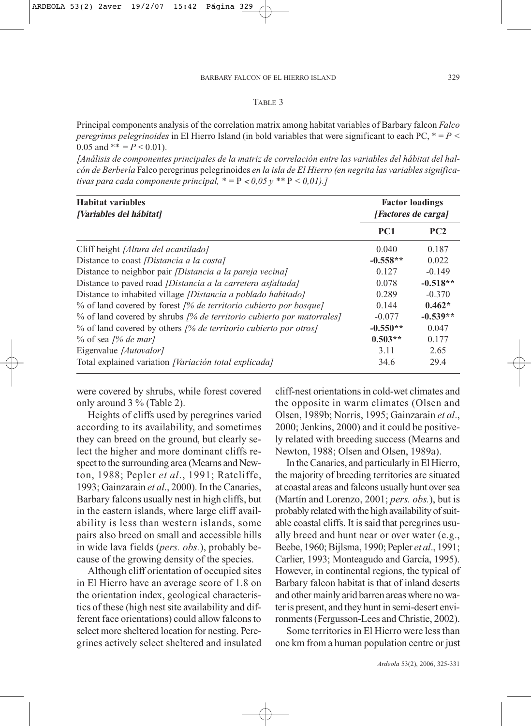#### TABLE 3

Principal components analysis of the correlation matrix among habitat variables of Barbary falcon *Falco peregrinus pelegrinoides* in El Hierro Island (in bold variables that were significant to each PC, \* = *P <* 0.05 and  $** = P < 0.01$ .

*[Análisis de componentes principales de la matriz de correlación entre las variables del hábitat del halcón de Berbería* Falco peregrinus pelegrinoides *en la isla de El Hierro (en negrita las variables significativas para cada componente principal,*  $* = P < 0.05$   $y$   $** P < 0.01$ *).]* 

| <b>Habitat variables</b><br><i><b>[Variables del hábitat]</b></i>    | <b>Factor loadings</b><br>[Factores de carga] |            |  |
|----------------------------------------------------------------------|-----------------------------------------------|------------|--|
|                                                                      | PC <sub>1</sub>                               | PC2        |  |
| Cliff height [Altura del acantilado]                                 | 0.040                                         | 0.187      |  |
| Distance to coast <i>[Distancia a la costa]</i>                      | $-0.558**$                                    | 0.022      |  |
| Distance to neighbor pair <i>[Distancia a la pareja vecina]</i>      | 0.127                                         | $-0.149$   |  |
| Distance to paved road [Distancia a la carretera asfaltada]          | 0.078                                         | $-0.518**$ |  |
| Distance to inhabited village <i>[Distancia a poblado habitado]</i>  | 0.289                                         | $-0.370$   |  |
| % of land covered by forest [% de territorio cubierto por bosque]    | 0.144                                         | $0.462*$   |  |
| % of land covered by shrubs /% de territorio cubierto por matorrales | $-0.077$                                      | $-0.539**$ |  |
| % of land covered by others /% de territorio cubierto por otros]     | $-0.550**$                                    | 0.047      |  |
| $\%$ of sea [% de mar]                                               | $0.503**$                                     | 0.177      |  |
| Eigenvalue [Autovalor]                                               | 3.11                                          | 2.65       |  |
| Total explained variation [Variación total explicada]                | 34.6                                          | 29.4       |  |

were covered by shrubs, while forest covered only around 3 % (Table 2).

Heights of cliffs used by peregrines varied according to its availability, and sometimes they can breed on the ground, but clearly select the higher and more dominant cliffs respect to the surrounding area (Mearns and Newton, 1988; Pepler *et al*., 1991; Ratcliffe, 1993; Gainzarain *et al*., 2000). In the Canaries, Barbary falcons usually nest in high cliffs, but in the eastern islands, where large cliff availability is less than western islands, some pairs also breed on small and accessible hills in wide lava fields (*pers. obs.*), probably because of the growing density of the species.

Although cliff orientation of occupied sites in El Hierro have an average score of 1.8 on the orientation index, geological characteristics of these (high nest site availability and different face orientations) could allow falcons to select more sheltered location for nesting. Peregrines actively select sheltered and insulated cliff-nest orientations in cold-wet climates and the opposite in warm climates (Olsen and Olsen, 1989b; Norris, 1995; Gainzarain *et al*., 2000; Jenkins, 2000) and it could be positively related with breeding success (Mearns and Newton, 1988; Olsen and Olsen, 1989a).

In the Canaries, and particularly in El Hierro, the majority of breeding territories are situated at coastal areas and falcons usually hunt over sea (Martín and Lorenzo, 2001; *pers. obs.*), but is probably related with the high availability of suitable coastal cliffs. It is said that peregrines usually breed and hunt near or over water (e.g., Beebe, 1960; Bijlsma, 1990; Pepler *et al*., 1991; Carlier, 1993; Monteagudo and García, 1995). However, in continental regions, the typical of Barbary falcon habitat is that of inland deserts and other mainly arid barren areas where no water is present, and they hunt in semi-desert environments (Fergusson-Lees and Christie, 2002).

Some territories in El Hierro were less than one km from a human population centre or just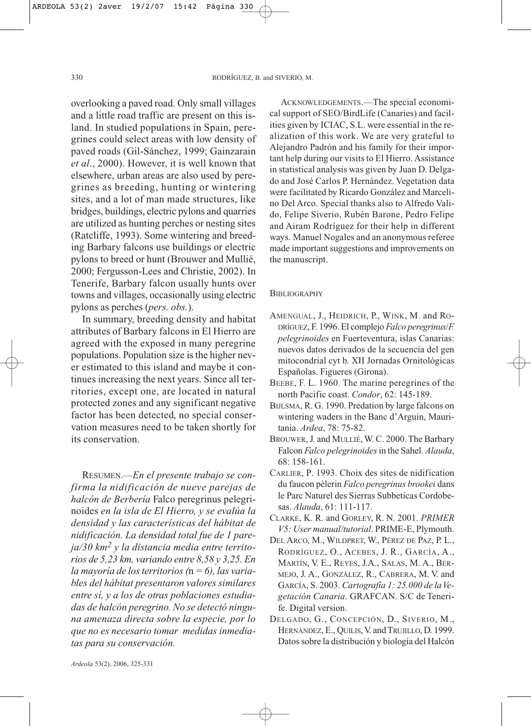overlooking a paved road. Only small villages and a little road traffic are present on this island. In studied populations in Spain, peregrines could select areas with low density of paved roads (Gil-Sánchez, 1999; Gainzarain *et al*., 2000). However, it is well known that elsewhere, urban areas are also used by peregrines as breeding, hunting or wintering sites, and a lot of man made structures, like bridges, buildings, electric pylons and quarries are utilized as hunting perches or nesting sites (Ratcliffe, 1993). Some wintering and breeding Barbary falcons use buildings or electric pylons to breed or hunt (Brouwer and Mullié, 2000; Fergusson-Lees and Christie, 2002). In Tenerife, Barbary falcon usually hunts over towns and villages, occasionally using electric pylons as perches (*pers. obs.*).

In summary, breeding density and habitat attributes of Barbary falcons in El Hierro are agreed with the exposed in many peregrine populations. Population size is the higher never estimated to this island and maybe it continues increasing the next years. Since all territories, except one, are located in natural protected zones and any significant negative factor has been detected, no special conservation measures need to be taken shortly for its conservation.

RESUMEN.—*En el presente trabajo se confirma la nidificación de nueve parejas de halcón de Berbería* Falco peregrinus pelegrinoides *en la isla de El Hierro, y se evalúa la densidad y las características del hábitat de nidificación. La densidad total fue de 1 pareja/30 km2 y la distancia media entre territorios de 5,23 km, variando entre 8,58 y 3,25. En la mayoría de los territorios (*n *= 6), las variables del hábitat presentaron valores similares entre sí, y a los de otras poblaciones estudiadas de halcón peregrino. No se detectó ninguna amenaza directa sobre la especie, por lo que no es necesario tomar medidas inmediatas para su conservación.* 

ACKNOWLEDGEMENTS.—The special economical support of SEO/BirdLife (Canaries) and facilities given by ICIAC, S.L. were essential in the realization of this work. We are very grateful to Alejandro Padrón and his family for their important help during our visits to El Hierro. Assistance in statistical analysis was given by Juan D. Delgado and José Carlos P. Hernández. Vegetation data were facilitated by Ricardo González and Marcelino Del Arco. Special thanks also to Alfredo Valido, Felipe Siverio, Rubén Barone, Pedro Felipe and Airam Rodríguez for their help in different ways. Manuel Nogales and an anonymous referee made important suggestions and improvements on the manuscript.

#### **BIBLIOGRAPHY**

- AMENGUAL, J., HEIDRICH, P., WINK, M. and RO-DRÍGUEZ, F. 1996. El complejo *Falco peregrinus*/*F. pelegrinoides* en Fuerteventura, islas Canarias: nuevos datos derivados de la secuencia del gen mitocondrial cyt b. XII Jornadas Ornitológicas Españolas. Figueres (Girona).
- BEEBE, F. L. 1960. The marine peregrines of the north Pacific coast. *Condor*, 62: 145-189.
- BIJLSMA, R. G. 1990. Predation by large falcons on wintering waders in the Banc d'Arguin, Mauritania. *Ardea*, 78: 75-82.
- BROUWER, J. and MULLIÉ, W. C. 2000. The Barbary Falcon *Falco pelegrinoides*in the Sahel. *Alauda*, 68: 158-161.
- CARLIER, P. 1993. Choix des sites de nidification du faucon pèlerin *Falco peregrinus brookei* dans le Parc Naturel des Sierras Subbeticas Cordobesas. *Alauda*, 61: 111-117.
- CLARKE, K. R. and GORLEY, R. N. 2001. *PRIMER V5: User manual/tutorial*. PRIME-E, Plymouth.
- DEL ARCO, M., WILDPRET, W., PÉREZ DE PAZ, P. L., RODRÍGUEZ, O., ACEBES, J. R., GARCÍA, A., MARTÍN, V. E., REYES, J.A., SALAS, M. A., BER-MEJO, J. A., GONZÁLEZ, R., CABRERA, M. V. and GARCÍA, S. 2003. *Cartografía 1: 25.000 de la Vegetación Canaria*. GRAFCAN. S/C de Tenerife. Digital version.
- DELGADO, G., CONCEPCIÓN, D., SIVERIO, M., HERNÁNDEZ, E., QUILIS, V. and TRUJILLO, D. 1999. Datos sobre la distribución y biología del Halcón